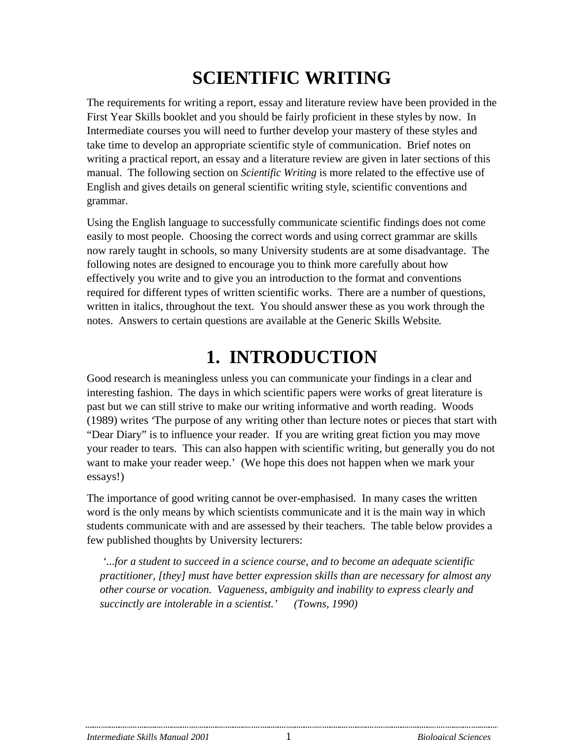# **SCIENTIFIC WRITING**

The requirements for writing a report, essay and literature review have been provided in the First Year Skills booklet and you should be fairly proficient in these styles by now. In Intermediate courses you will need to further develop your mastery of these styles and take time to develop an appropriate scientific style of communication. Brief notes on writing a practical report, an essay and a literature review are given in later sections of this manual. The following section on *Scientific Writing* is more related to the effective use of English and gives details on general scientific writing style, scientific conventions and grammar.

Using the English language to successfully communicate scientific findings does not come easily to most people. Choosing the correct words and using correct grammar are skills now rarely taught in schools, so many University students are at some disadvantage. The following notes are designed to encourage you to think more carefully about how effectively you write and to give you an introduction to the format and conventions required for different types of written scientific works. There are a number of questions, written in italics, throughout the text. You should answer these as you work through the notes. Answers to certain questions are available at the Generic Skills Website*.*

# **1. INTRODUCTION**

Good research is meaningless unless you can communicate your findings in a clear and interesting fashion. The days in which scientific papers were works of great literature is past but we can still strive to make our writing informative and worth reading. Woods (1989) writes 'The purpose of any writing other than lecture notes or pieces that start with "Dear Diary" is to influence your reader. If you are writing great fiction you may move your reader to tears. This can also happen with scientific writing, but generally you do not want to make your reader weep.' (We hope this does not happen when we mark your essays!)

The importance of good writing cannot be over-emphasised. In many cases the written word is the only means by which scientists communicate and it is the main way in which students communicate with and are assessed by their teachers. The table below provides a few published thoughts by University lecturers:

 *'...for a student to succeed in a science course, and to become an adequate scientific practitioner, [they] must have better expression skills than are necessary for almost any other course or vocation. Vagueness, ambiguity and inability to express clearly and succinctly are intolerable in a scientist.' (Towns, 1990)*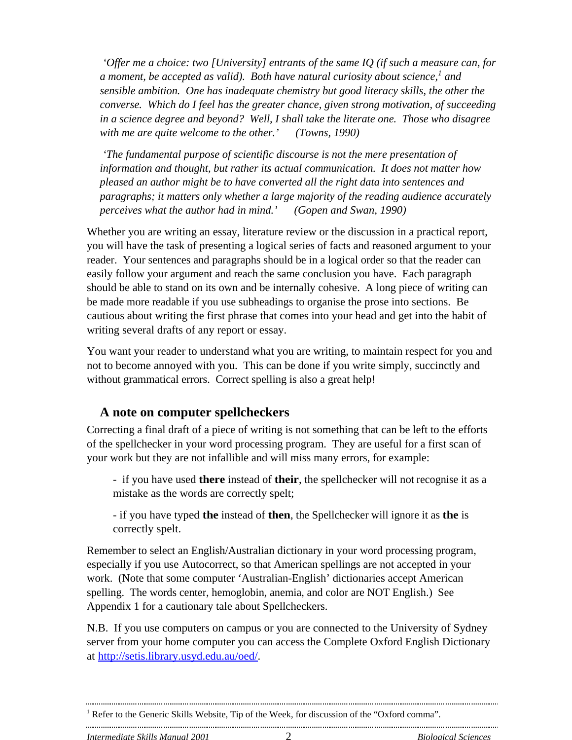*'Offer me a choice: two [University] entrants of the same IQ (if such a measure can, for a moment, be accepted as valid). Both have natural curiosity about science,<sup>1</sup> and sensible ambition. One has inadequate chemistry but good literacy skills, the other the converse. Which do I feel has the greater chance, given strong motivation, of succeeding in a science degree and beyond? Well, I shall take the literate one. Those who disagree with me are quite welcome to the other.' (Towns, 1990)*

 *'The fundamental purpose of scientific discourse is not the mere presentation of information and thought, but rather its actual communication. It does not matter how pleased an author might be to have converted all the right data into sentences and paragraphs; it matters only whether a large majority of the reading audience accurately perceives what the author had in mind.' (Gopen and Swan, 1990)*

Whether you are writing an essay, literature review or the discussion in a practical report, you will have the task of presenting a logical series of facts and reasoned argument to your reader. Your sentences and paragraphs should be in a logical order so that the reader can easily follow your argument and reach the same conclusion you have. Each paragraph should be able to stand on its own and be internally cohesive. A long piece of writing can be made more readable if you use subheadings to organise the prose into sections. Be cautious about writing the first phrase that comes into your head and get into the habit of writing several drafts of any report or essay.

You want your reader to understand what you are writing, to maintain respect for you and not to become annoyed with you. This can be done if you write simply, succinctly and without grammatical errors. Correct spelling is also a great help!

#### **A note on computer spellcheckers**

Correcting a final draft of a piece of writing is not something that can be left to the efforts of the spellchecker in your word processing program. They are useful for a first scan of your work but they are not infallible and will miss many errors, for example:

- if you have used **there** instead of **their**, the spellchecker will not recognise it as a mistake as the words are correctly spelt;

- if you have typed **the** instead of **then**, the Spellchecker will ignore it as **the** is correctly spelt.

Remember to select an English/Australian dictionary in your word processing program, especially if you use Autocorrect, so that American spellings are not accepted in your work. (Note that some computer 'Australian-English' dictionaries accept American spelling. The words center, hemoglobin, anemia, and color are NOT English.) See Appendix 1 for a cautionary tale about Spellcheckers.

N.B. If you use computers on campus or you are connected to the University of Sydney server from your home computer you can access the Complete Oxford English Dictionary at <http://setis.library.usyd.edu.au/oed/>.

<sup>&</sup>lt;sup>1</sup> Refer to the Generic Skills Website, Tip of the Week, for discussion of the "Oxford comma".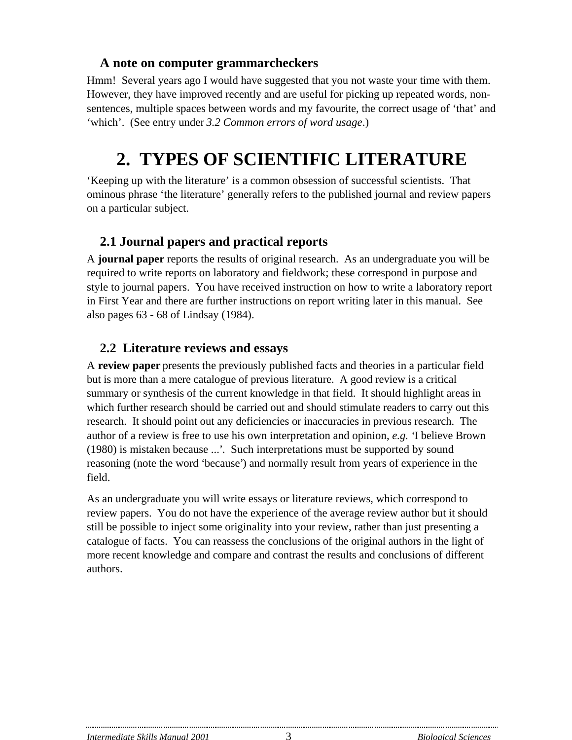### **A note on computer grammarcheckers**

Hmm! Several years ago I would have suggested that you not waste your time with them. However, they have improved recently and are useful for picking up repeated words, nonsentences, multiple spaces between words and my favourite, the correct usage of 'that' and 'which'. (See entry under *3.2 Common errors of word usage*.)

# **2. TYPES OF SCIENTIFIC LITERATURE**

'Keeping up with the literature' is a common obsession of successful scientists. That ominous phrase 'the literature' generally refers to the published journal and review papers on a particular subject.

## **2.1 Journal papers and practical reports**

A **journal paper** reports the results of original research. As an undergraduate you will be required to write reports on laboratory and fieldwork; these correspond in purpose and style to journal papers. You have received instruction on how to write a laboratory report in First Year and there are further instructions on report writing later in this manual. See also pages 63 - 68 of Lindsay (1984).

## **2.2 Literature reviews and essays**

A **review paper** presents the previously published facts and theories in a particular field but is more than a mere catalogue of previous literature. A good review is a critical summary or synthesis of the current knowledge in that field. It should highlight areas in which further research should be carried out and should stimulate readers to carry out this research. It should point out any deficiencies or inaccuracies in previous research. The author of a review is free to use his own interpretation and opinion, *e.g. '*I believe Brown (1980) is mistaken because ...*'*. Such interpretations must be supported by sound reasoning (note the word *'*because*'*) and normally result from years of experience in the field.

As an undergraduate you will write essays or literature reviews, which correspond to review papers. You do not have the experience of the average review author but it should still be possible to inject some originality into your review, rather than just presenting a catalogue of facts. You can reassess the conclusions of the original authors in the light of more recent knowledge and compare and contrast the results and conclusions of different authors.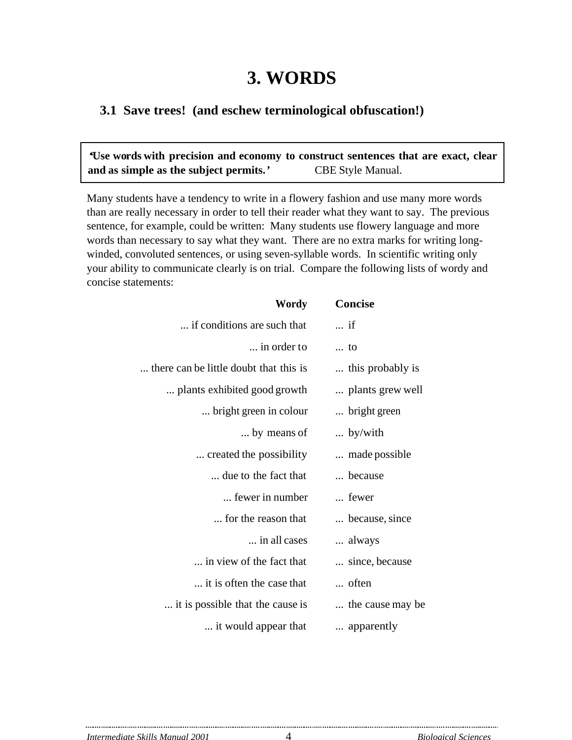# **3. WORDS**

#### **3.1 Save trees! (and eschew terminological obfuscation!)**

*'***Use words with precision and economy to construct sentences that are exact, clear** and as simple as the subject permits.<sup>*'*</sup> CBE Style Manual.

Many students have a tendency to write in a flowery fashion and use many more words than are really necessary in order to tell their reader what they want to say. The previous sentence, for example, could be written: Many students use flowery language and more words than necessary to say what they want. There are no extra marks for writing longwinded, convoluted sentences, or using seven-syllable words. In scientific writing only your ability to communicate clearly is on trial. Compare the following lists of wordy and concise statements:

| Wordy                                  | <b>Concise</b>   |
|----------------------------------------|------------------|
| if conditions are such that            | $\ldots$ if      |
| in order to                            | to               |
| there can be little doubt that this is | this probably is |
| plants exhibited good growth           | plants grew well |
| bright green in colour                 | bright green     |
| by means of                            | $\ldots$ by/with |
| created the possibility.               | made possible    |
| due to the fact that                   | because          |
| fewer in number                        | fewer            |
| for the reason that                    | because, since   |
| in all cases                           | always           |
| in view of the fact that               | since, because   |
| it is often the case that              | often            |
| it is possible that the cause is       | the cause may be |
| it would appear that                   | apparently       |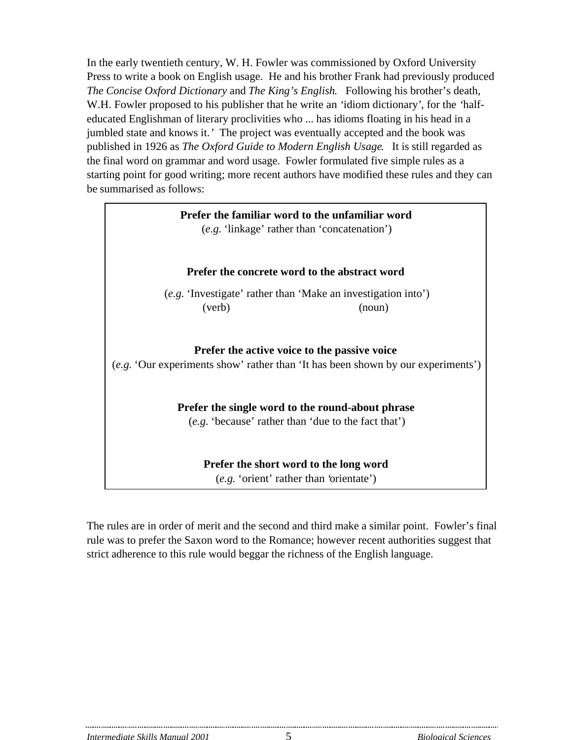In the early twentieth century, W. H. Fowler was commissioned by Oxford University Press to write a book on English usage. He and his brother Frank had previously produced *The Concise Oxford Dictionary* and *The King's English*. Following his brother's death, W.H. Fowler proposed to his publisher that he write an *'*idiom dictionary*'*, for the *'*halfeducated Englishman of literary proclivities who ... has idioms floating in his head in a jumbled state and knows it.*'* The project was eventually accepted and the book was published in 1926 as *The Oxford Guide to Modern English Usage*. It is still regarded as the final word on grammar and word usage. Fowler formulated five simple rules as a starting point for good writing; more recent authors have modified these rules and they can be summarised as follows:

| Prefer the familiar word to the unfamiliar word<br>(e.g. 'linkage' rather than 'concatenation')                                  |  |  |
|----------------------------------------------------------------------------------------------------------------------------------|--|--|
| Prefer the concrete word to the abstract word                                                                                    |  |  |
| (e.g. 'Investigate' rather than 'Make an investigation into')                                                                    |  |  |
| (verb)<br>(noun)                                                                                                                 |  |  |
| Prefer the active voice to the passive voice<br>(e.g. 'Our experiments show' rather than 'It has been shown by our experiments') |  |  |
| Prefer the single word to the round-about phrase                                                                                 |  |  |
| (e.g. 'because' rather than 'due to the fact that')                                                                              |  |  |
| Prefer the short word to the long word<br>(e.g. 'orient' rather than 'orientate')                                                |  |  |

The rules are in order of merit and the second and third make a similar point. Fowler's final rule was to prefer the Saxon word to the Romance; however recent authorities suggest that strict adherence to this rule would beggar the richness of the English language.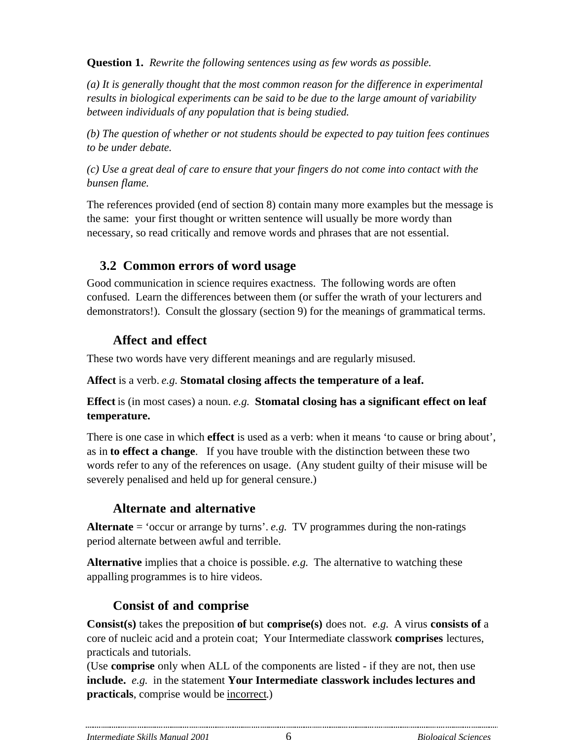**Question 1.** *Rewrite the following sentences using as few words as possible.*

*(a) It is generally thought that the most common reason for the difference in experimental results in biological experiments can be said to be due to the large amount of variability between individuals of any population that is being studied.*

*(b) The question of whether or not students should be expected to pay tuition fees continues to be under debate.*

*(c) Use a great deal of care to ensure that your fingers do not come into contact with the bunsen flame.*

The references provided (end of section 8) contain many more examples but the message is the same: your first thought or written sentence will usually be more wordy than necessary, so read critically and remove words and phrases that are not essential.

## **3.2 Common errors of word usage**

Good communication in science requires exactness. The following words are often confused. Learn the differences between them (or suffer the wrath of your lecturers and demonstrators!). Consult the glossary (section 9) for the meanings of grammatical terms.

# **Affect and effect**

These two words have very different meanings and are regularly misused.

**Affect** is a verb. *e.g.* **Stomatal closing affects the temperature of a leaf.**

**Effect** is (in most cases) a noun. *e.g.* **Stomatal closing has a significant effect on leaf temperature.**

There is one case in which **effect** is used as a verb: when it means 'to cause or bring about', as in **to effect a change**. If you have trouble with the distinction between these two words refer to any of the references on usage. (Any student guilty of their misuse will be severely penalised and held up for general censure.)

# **Alternate and alternative**

**Alternate** = 'occur or arrange by turns'. *e.g.* TV programmes during the non-ratings period alternate between awful and terrible.

**Alternative** implies that a choice is possible. *e.g.* The alternative to watching these appalling programmes is to hire videos.

# **Consist of and comprise**

**Consist(s)** takes the preposition **of** but **comprise(s)** does not. *e.g.* A virus **consists of** a core of nucleic acid and a protein coat; Your Intermediate classwork **comprises** lectures, practicals and tutorials.

(Use **comprise** only when ALL of the components are listed - if they are not, then use **include.** *e.g.* in the statement **Your Intermediate classwork includes lectures and practicals**, comprise would be incorrect.)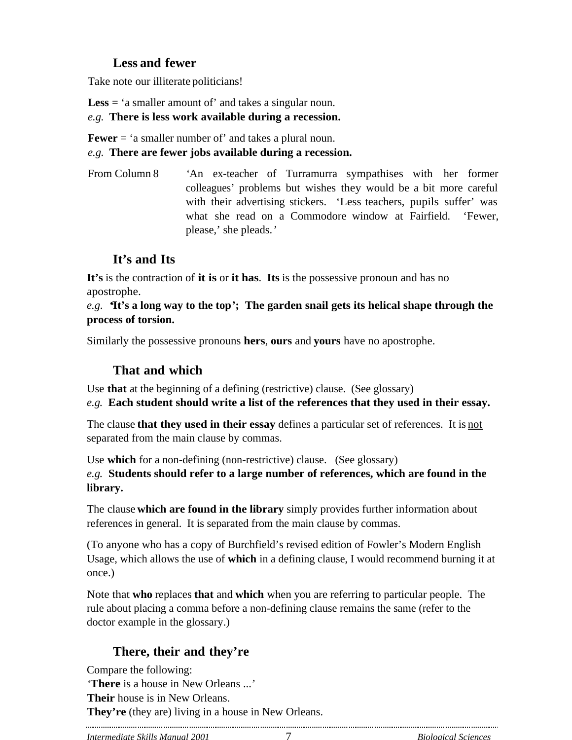## **Less and fewer**

Take note our illiterate politicians!

**Less** = 'a smaller amount of' and takes a singular noun.

*e.g.* **There is less work available during a recession.**

**Fewer** = 'a smaller number of' and takes a plural noun. *e.g.* **There are fewer jobs available during a recession.**

From Column 8 *'*An ex-teacher of Turramurra sympathises with her former colleagues' problems but wishes they would be a bit more careful with their advertising stickers. 'Less teachers, pupils suffer' was what she read on a Commodore window at Fairfield. 'Fewer, please,' she pleads.*'*

### **It's and Its**

**It's** is the contraction of **it is** or **it has**. **Its** is the possessive pronoun and has no apostrophe.

*e.g. '***It's a long way to the top***'***; The garden snail gets its helical shape through the process of torsion.**

Similarly the possessive pronouns **hers**, **ours** and **yours** have no apostrophe.

### **That and which**

Use **that** at the beginning of a defining (restrictive) clause. (See glossary)

*e.g.* **Each student should write a list of the references that they used in their essay.**

The clause **that they used in their essay** defines a particular set of references. It is not separated from the main clause by commas.

Use **which** for a non-defining (non-restrictive) clause. (See glossary) *e.g.* **Students should refer to a large number of references, which are found in the library.**

The clause **which are found in the library** simply provides further information about references in general. It is separated from the main clause by commas.

(To anyone who has a copy of Burchfield's revised edition of Fowler's Modern English Usage, which allows the use of **which** in a defining clause, I would recommend burning it at once.)

Note that **who** replaces **that** and **which** when you are referring to particular people. The rule about placing a comma before a non-defining clause remains the same (refer to the doctor example in the glossary.)

# **There, their and they're**

Compare the following: *'***There** is a house in New Orleans ...*'* **Their** house is in New Orleans. **They're** (they are) living in a house in New Orleans.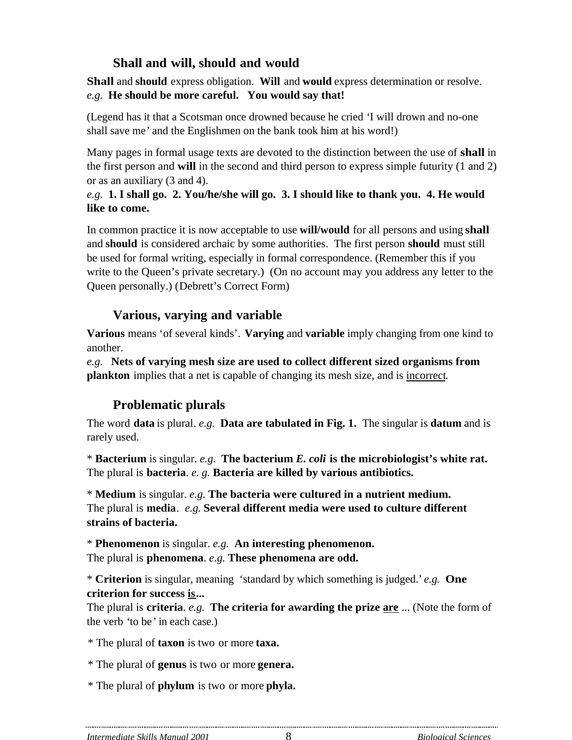## **Shall and will, should and would**

**Shall** and **should** express obligation. **Will** and **would** express determination or resolve. *e.g.* **He should be more careful. You would say that!**

(Legend has it that a Scotsman once drowned because he cried *'*I will drown and no-one shall save me*'* and the Englishmen on the bank took him at his word!)

Many pages in formal usage texts are devoted to the distinction between the use of **shall** in the first person and **will** in the second and third person to express simple futurity (1 and 2) or as an auxiliary (3 and 4).

#### *e.g.* **1. I shall go. 2. You/he/she will go. 3. I should like to thank you. 4. He would like to come.**

In common practice it is now acceptable to use **will/would** for all persons and using **shall** and **should** is considered archaic by some authorities. The first person **should** must still be used for formal writing, especially in formal correspondence. (Remember this if you write to the Queen's private secretary.) (On no account may you address any letter to the Queen personally.) (Debrett's Correct Form)

## **Various, varying and variable**

**Various** means 'of several kinds'. **Varying** and **variable** imply changing from one kind to another.

*e.g.* **Nets of varying mesh size are used to collect different sized organisms from plankton** implies that a net is capable of changing its mesh size, and is incorrect.

# **Problematic plurals**

The word **data** is plural. *e.g.* **Data are tabulated in Fig. 1.** The singular is **datum** and is rarely used.

\* **Bacterium** is singular. *e.g.* **The bacterium** *E. coli* **is the microbiologist's white rat.** The plural is **bacteria**. *e. g.* **Bacteria are killed by various antibiotics.**

\* **Medium** is singular. *e.g.* **The bacteria were cultured in a nutrient medium.** The plural is **media**. *e.g.* **Several different media were used to culture different strains of bacteria.**

\* **Phenomenon** is singular. *e.g.* **An interesting phenomenon.** The plural is **phenomena**. *e.g.* **These phenomena are odd.**

\* **Criterion** is singular, meaning 'standard by which something is judged.' *e.g.* **One criterion for success is...**

The plural is **criteria**. *e.g.* **The criteria for awarding the prize are** ... (Note the form of the verb *'*to be*'* in each case.)

\* The plural of **taxon** is two or more **taxa.**

\* The plural of **genus** is two or more **genera.**

\* The plural of **phylum** is two or more **phyla.**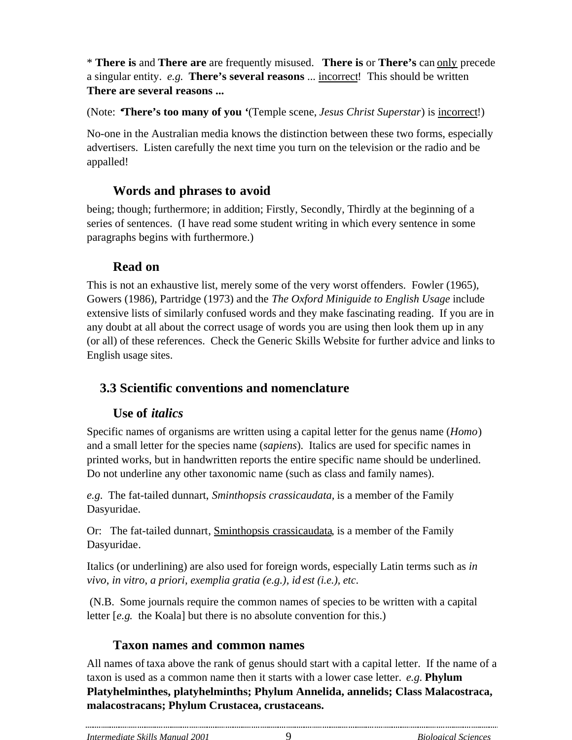\* **There is** and **There are** are frequently misused. **There is** or **There's** can only precede a singular entity. *e.g.* **There's several reasons** ... incorrect! This should be written **There are several reasons ...**

(Note: *'***There's too many of you** *'*(Temple scene, *Jesus Christ Superstar*) is incorrect!)

No-one in the Australian media knows the distinction between these two forms, especially advertisers. Listen carefully the next time you turn on the television or the radio and be appalled!

### **Words and phrases to avoid**

being; though; furthermore; in addition; Firstly, Secondly, Thirdly at the beginning of a series of sentences. (I have read some student writing in which every sentence in some paragraphs begins with furthermore.)

### **Read on**

This is not an exhaustive list, merely some of the very worst offenders. Fowler (1965), Gowers (1986), Partridge (1973) and the *The Oxford Miniguide to English Usage* include extensive lists of similarly confused words and they make fascinating reading. If you are in any doubt at all about the correct usage of words you are using then look them up in any (or all) of these references. Check the Generic Skills Website for further advice and links to English usage sites.

## **3.3 Scientific conventions and nomenclature**

#### **Use of** *italics*

Specific names of organisms are written using a capital letter for the genus name (*Homo*) and a small letter for the species name (*sapiens*). Italics are used for specific names in printed works, but in handwritten reports the entire specific name should be underlined. Do not underline any other taxonomic name (such as class and family names).

*e.g.* The fat-tailed dunnart, *Sminthopsis crassicaudata,* is a member of the Family Dasyuridae.

Or: The fat-tailed dunnart, Sminthopsis crassicaudata, is a member of the Family Dasyuridae.

Italics (or underlining) are also used for foreign words, especially Latin terms such as *in vivo*, *in vitro*, *a priori, exemplia gratia (e.g.), id est (i.e.), etc*.

 (N.B. Some journals require the common names of species to be written with a capital letter [*e.g.* the Koala] but there is no absolute convention for this.)

#### **Taxon names and common names**

All names of taxa above the rank of genus should start with a capital letter. If the name of a taxon is used as a common name then it starts with a lower case letter. *e.g.* **Phylum Platyhelminthes, platyhelminths; Phylum Annelida, annelids; Class Malacostraca, malacostracans; Phylum Crustacea, crustaceans.**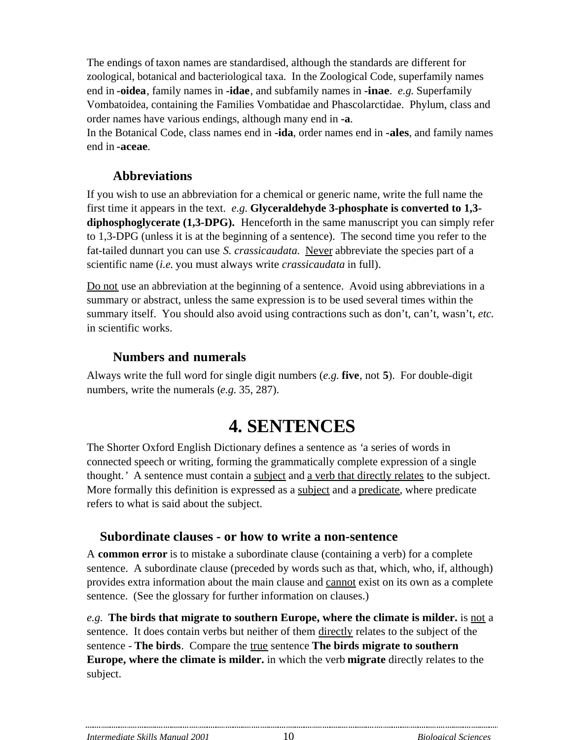The endings of taxon names are standardised, although the standards are different for zoological, botanical and bacteriological taxa. In the Zoological Code, superfamily names end in **-oidea**, family names in **-idae**, and subfamily names in **-inae**. *e.g.* Superfamily Vombatoidea, containing the Families Vombatidae and Phascolarctidae. Phylum, class and order names have various endings, although many end in **-a**.

In the Botanical Code, class names end in **-ida**, order names end in **-ales**, and family names end in **-aceae**.

### **Abbreviations**

If you wish to use an abbreviation for a chemical or generic name, write the full name the first time it appears in the text. *e.g.* **Glyceraldehyde 3-phosphate is converted to 1,3 diphosphoglycerate (1,3-DPG).** Henceforth in the same manuscript you can simply refer to 1,3-DPG (unless it is at the beginning of a sentence). The second time you refer to the fat-tailed dunnart you can use *S. crassicaudata*. Never abbreviate the species part of a scientific name (*i.e.* you must always write *crassicaudata* in full).

Do not use an abbreviation at the beginning of a sentence. Avoid using abbreviations in a summary or abstract, unless the same expression is to be used several times within the summary itself. You should also avoid using contractions such as don't, can't, wasn't, *etc.* in scientific works.

#### **Numbers and numerals**

Always write the full word for single digit numbers (*e.g.* **five**, not **5**). For double-digit numbers, write the numerals (*e.g.* 35, 287).

# **4. SENTENCES**

The Shorter Oxford English Dictionary defines a sentence as *'*a series of words in connected speech or writing, forming the grammatically complete expression of a single thought.*'* A sentence must contain a subject and a verb that directly relates to the subject. More formally this definition is expressed as a subject and a predicate, where predicate refers to what is said about the subject.

#### **Subordinate clauses - or how to write a non-sentence**

A **common error** is to mistake a subordinate clause (containing a verb) for a complete sentence. A subordinate clause (preceded by words such as that, which, who, if, although) provides extra information about the main clause and cannot exist on its own as a complete sentence. (See the glossary for further information on clauses.)

*e.g.* **The birds that migrate to southern Europe, where the climate is milder.** is not a sentence. It does contain verbs but neither of them directly relates to the subject of the sentence - **The birds**. Compare the true sentence **The birds migrate to southern Europe, where the climate is milder.** in which the verb **migrate** directly relates to the subject.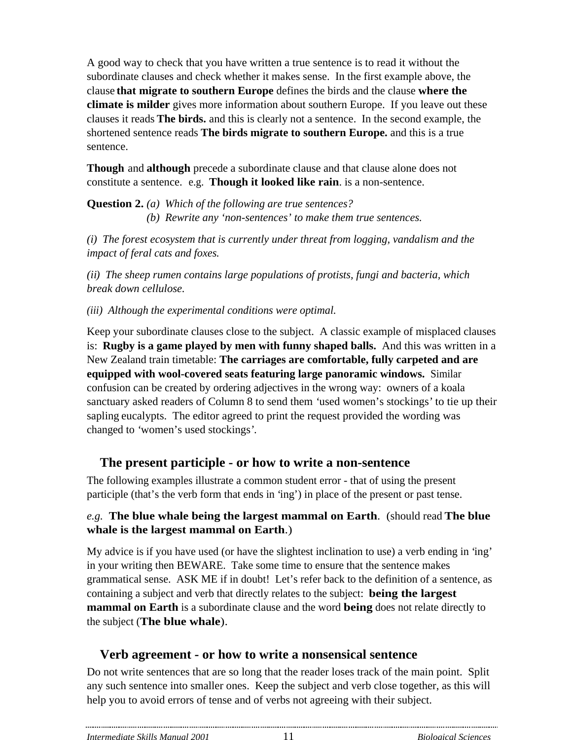A good way to check that you have written a true sentence is to read it without the subordinate clauses and check whether it makes sense. In the first example above, the clause **that migrate to southern Europe** defines the birds and the clause **where the climate is milder** gives more information about southern Europe. If you leave out these clauses it reads **The birds.** and this is clearly not a sentence. In the second example, the shortened sentence reads **The birds migrate to southern Europe.** and this is a true sentence.

**Though** and **although** precede a subordinate clause and that clause alone does not constitute a sentence. e.g. **Though it looked like rain**. is a non-sentence.

**Question 2.** *(a) Which of the following are true sentences? (b) Rewrite any 'non-sentences' to make them true sentences.*

*(i) The forest ecosystem that is currently under threat from logging, vandalism and the impact of feral cats and foxes.*

*(ii) The sheep rumen contains large populations of protists, fungi and bacteria, which break down cellulose.*

*(iii) Although the experimental conditions were optimal.*

Keep your subordinate clauses close to the subject. A classic example of misplaced clauses is: **Rugby is a game played by men with funny shaped balls.** And this was written in a New Zealand train timetable: **The carriages are comfortable, fully carpeted and are equipped with wool-covered seats featuring large panoramic windows.** Similar confusion can be created by ordering adjectives in the wrong way: owners of a koala sanctuary asked readers of Column 8 to send them *'*used women's stockings*'* to tie up their sapling eucalypts. The editor agreed to print the request provided the wording was changed to *'*women's used stockings*'*.

## **The present participle - or how to write a non-sentence**

The following examples illustrate a common student error - that of using the present participle (that's the verb form that ends in 'ing') in place of the present or past tense.

#### *e.g.* **The blue whale being the largest mammal on Earth**. (should read **The blue whale is the largest mammal on Earth**.)

My advice is if you have used (or have the slightest inclination to use) a verb ending in 'ing' in your writing then BEWARE. Take some time to ensure that the sentence makes grammatical sense. ASK ME if in doubt! Let's refer back to the definition of a sentence, as containing a subject and verb that directly relates to the subject: **being the largest mammal on Earth** is a subordinate clause and the word **being** does not relate directly to the subject (**The blue whale**).

# **Verb agreement - or how to write a nonsensical sentence**

Do not write sentences that are so long that the reader loses track of the main point. Split any such sentence into smaller ones. Keep the subject and verb close together, as this will help you to avoid errors of tense and of verbs not agreeing with their subject.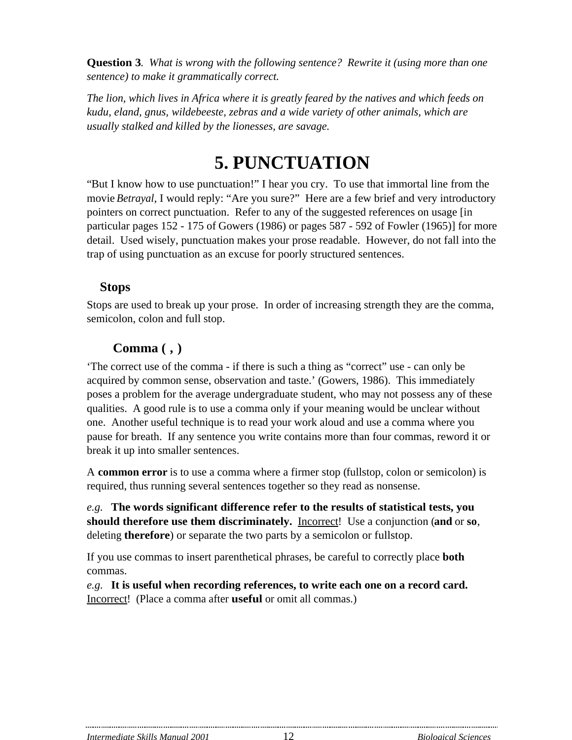**Question 3***. What is wrong with the following sentence? Rewrite it (using more than one sentence) to make it grammatically correct.*

*The lion, which lives in Africa where it is greatly feared by the natives and which feeds on kudu, eland, gnus, wildebeeste, zebras and a wide variety of other animals, which are usually stalked and killed by the lionesses, are savage.*

# **5. PUNCTUATION**

"But I know how to use punctuation!" I hear you cry. To use that immortal line from the movie *Betrayal*, I would reply: "Are you sure?" Here are a few brief and very introductory pointers on correct punctuation. Refer to any of the suggested references on usage [in particular pages 152 - 175 of Gowers (1986) or pages 587 - 592 of Fowler (1965)] for more detail. Used wisely, punctuation makes your prose readable. However, do not fall into the trap of using punctuation as an excuse for poorly structured sentences.

#### **Stops**

Stops are used to break up your prose. In order of increasing strength they are the comma, semicolon, colon and full stop.

### **Comma ( , )**

'The correct use of the comma - if there is such a thing as "correct" use - can only be acquired by common sense, observation and taste.' (Gowers, 1986). This immediately poses a problem for the average undergraduate student, who may not possess any of these qualities. A good rule is to use a comma only if your meaning would be unclear without one. Another useful technique is to read your work aloud and use a comma where you pause for breath. If any sentence you write contains more than four commas, reword it or break it up into smaller sentences.

A **common error** is to use a comma where a firmer stop (fullstop, colon or semicolon) is required, thus running several sentences together so they read as nonsense.

*e.g.* **The words significant difference refer to the results of statistical tests, you should therefore use them discriminately.** Incorrect! Use a conjunction (**and** or **so**, deleting **therefore**) or separate the two parts by a semicolon or fullstop.

If you use commas to insert parenthetical phrases, be careful to correctly place **both** commas.

*e.g.* **It is useful when recording references, to write each one on a record card.** Incorrect! (Place a comma after **useful** or omit all commas.)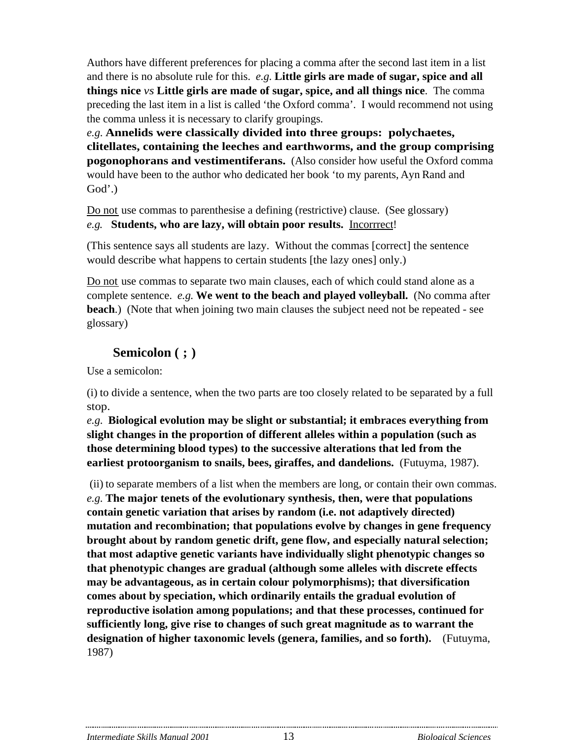Authors have different preferences for placing a comma after the second last item in a list and there is no absolute rule for this. *e.g.* **Little girls are made of sugar, spice and all things nice** *vs* **Little girls are made of sugar, spice, and all things nice**. The comma preceding the last item in a list is called 'the Oxford comma'. I would recommend not using the comma unless it is necessary to clarify groupings.

*e.g.* **Annelids were classically divided into three groups: polychaetes, clitellates, containing the leeches and earthworms, and the group comprising pogonophorans and vestimentiferans.** (Also consider how useful the Oxford comma would have been to the author who dedicated her book 'to my parents, Ayn Rand and God'.)

Do not use commas to parenthesise a defining (restrictive) clause. (See glossary) *e.g.* **Students, who are lazy, will obtain poor results.** Incorrrect!

(This sentence says all students are lazy. Without the commas [correct] the sentence would describe what happens to certain students [the lazy ones] only.)

Do not use commas to separate two main clauses, each of which could stand alone as a complete sentence. *e.g.* **We went to the beach and played volleyball.** (No comma after **beach**.) (Note that when joining two main clauses the subject need not be repeated - see glossary)

#### **Semicolon ( ; )**

Use a semicolon:

(i) to divide a sentence, when the two parts are too closely related to be separated by a full stop.

*e.g.* **Biological evolution may be slight or substantial; it embraces everything from slight changes in the proportion of different alleles within a population (such as those determining blood types) to the successive alterations that led from the earliest protoorganism to snails, bees, giraffes, and dandelions.** (Futuyma, 1987).

 (ii) to separate members of a list when the members are long, or contain their own commas. *e.g.* **The major tenets of the evolutionary synthesis, then, were that populations contain genetic variation that arises by random (i.e. not adaptively directed) mutation and recombination; that populations evolve by changes in gene frequency brought about by random genetic drift, gene flow, and especially natural selection; that most adaptive genetic variants have individually slight phenotypic changes so that phenotypic changes are gradual (although some alleles with discrete effects may be advantageous, as in certain colour polymorphisms); that diversification comes about by speciation, which ordinarily entails the gradual evolution of reproductive isolation among populations; and that these processes, continued for sufficiently long, give rise to changes of such great magnitude as to warrant the designation of higher taxonomic levels (genera, families, and so forth).** (Futuyma, 1987)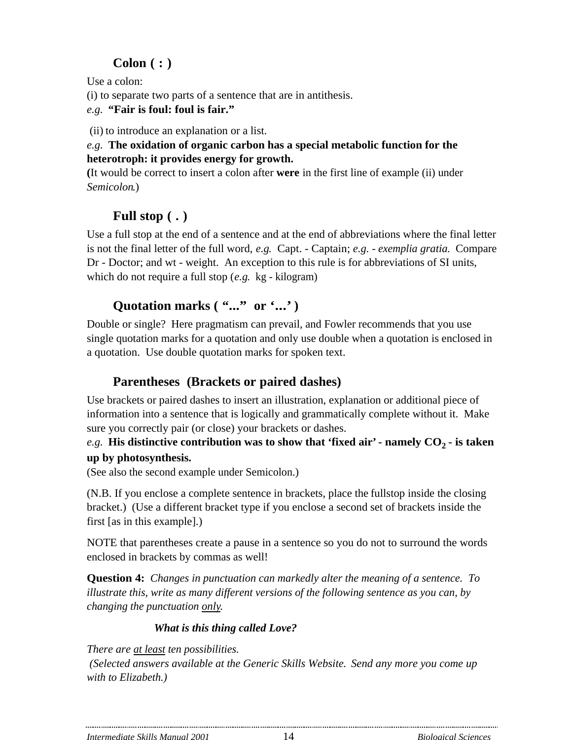# **Colon ( : )**

Use a colon:

(i) to separate two parts of a sentence that are in antithesis.

*e.g.* **"Fair is foul: foul is fair."**

(ii) to introduce an explanation or a list.

#### *e.g.* **The oxidation of organic carbon has a special metabolic function for the heterotroph: it provides energy for growth.**

**(**It would be correct to insert a colon after **were** in the first line of example (ii) under *Semicolon*.)

# **Full stop ( . )**

Use a full stop at the end of a sentence and at the end of abbreviations where the final letter is not the final letter of the full word, *e.g.* Capt. - Captain; *e.g. - exemplia gratia*. Compare Dr - Doctor; and wt - weight. An exception to this rule is for abbreviations of SI units, which do not require a full stop (*e.g.* kg - kilogram)

# **Quotation marks ( "..." or '...' )**

Double or single? Here pragmatism can prevail, and Fowler recommends that you use single quotation marks for a quotation and only use double when a quotation is enclosed in a quotation. Use double quotation marks for spoken text.

# **Parentheses (Brackets or paired dashes)**

Use brackets or paired dashes to insert an illustration, explanation or additional piece of information into a sentence that is logically and grammatically complete without it. Make sure you correctly pair (or close) your brackets or dashes.

### *e.g.* **His distinctive contribution was to show that 'fixed air' - namely**  $CO_2$  **- is taken up by photosynthesis.**

(See also the second example under Semicolon.)

(N.B. If you enclose a complete sentence in brackets, place the fullstop inside the closing bracket.) (Use a different bracket type if you enclose a second set of brackets inside the first [as in this example].)

NOTE that parentheses create a pause in a sentence so you do not to surround the words enclosed in brackets by commas as well!

**Question 4:** *Changes in punctuation can markedly alter the meaning of a sentence. To illustrate this, write as many different versions of the following sentence as you can, by changing the punctuation only.*

# *What is this thing called Love?*

*There are at least ten possibilities.*

 *(Selected answers available at the Generic Skills Website. Send any more you come up with to Elizabeth.)*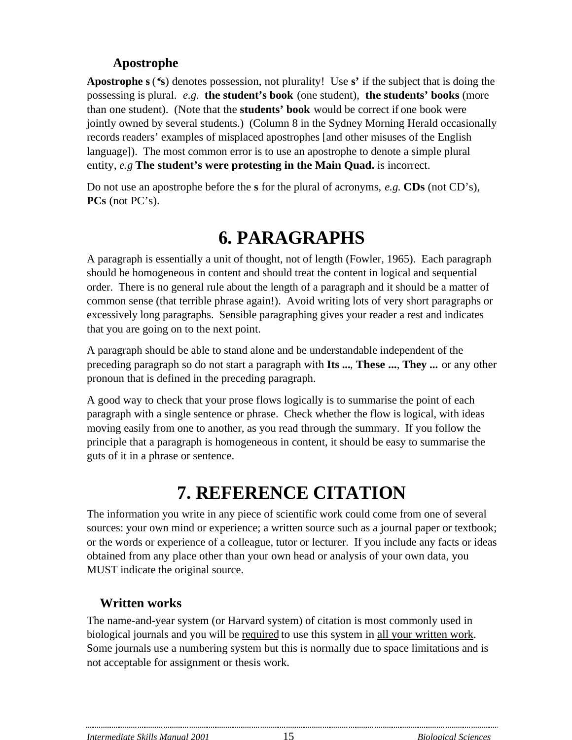### **Apostrophe**

**Apostrophe s** (**'s**) denotes possession, not plurality! Use **s'** if the subject that is doing the possessing is plural. *e.g.* **the student's book** (one student), **the students' books** (more than one student). (Note that the **students' book** would be correct if one book were jointly owned by several students.) (Column 8 in the Sydney Morning Herald occasionally records readers' examples of misplaced apostrophes [and other misuses of the English language]). The most common error is to use an apostrophe to denote a simple plural entity, *e.g* **The student's were protesting in the Main Quad.** is incorrect.

Do not use an apostrophe before the **s** for the plural of acronyms, *e.g.* **CDs** (not CD's), **PCs** (not PC's).

# **6. PARAGRAPHS**

A paragraph is essentially a unit of thought, not of length (Fowler, 1965). Each paragraph should be homogeneous in content and should treat the content in logical and sequential order. There is no general rule about the length of a paragraph and it should be a matter of common sense (that terrible phrase again!). Avoid writing lots of very short paragraphs or excessively long paragraphs. Sensible paragraphing gives your reader a rest and indicates that you are going on to the next point.

A paragraph should be able to stand alone and be understandable independent of the preceding paragraph so do not start a paragraph with **Its ...**, **These ...**, **They ...** or any other pronoun that is defined in the preceding paragraph.

A good way to check that your prose flows logically is to summarise the point of each paragraph with a single sentence or phrase. Check whether the flow is logical, with ideas moving easily from one to another, as you read through the summary. If you follow the principle that a paragraph is homogeneous in content, it should be easy to summarise the guts of it in a phrase or sentence.

# **7. REFERENCE CITATION**

The information you write in any piece of scientific work could come from one of several sources: your own mind or experience; a written source such as a journal paper or textbook; or the words or experience of a colleague, tutor or lecturer. If you include any facts or ideas obtained from any place other than your own head or analysis of your own data, you MUST indicate the original source.

# **Written works**

The name-and-year system (or Harvard system) of citation is most commonly used in biological journals and you will be required to use this system in all your written work. Some journals use a numbering system but this is normally due to space limitations and is not acceptable for assignment or thesis work.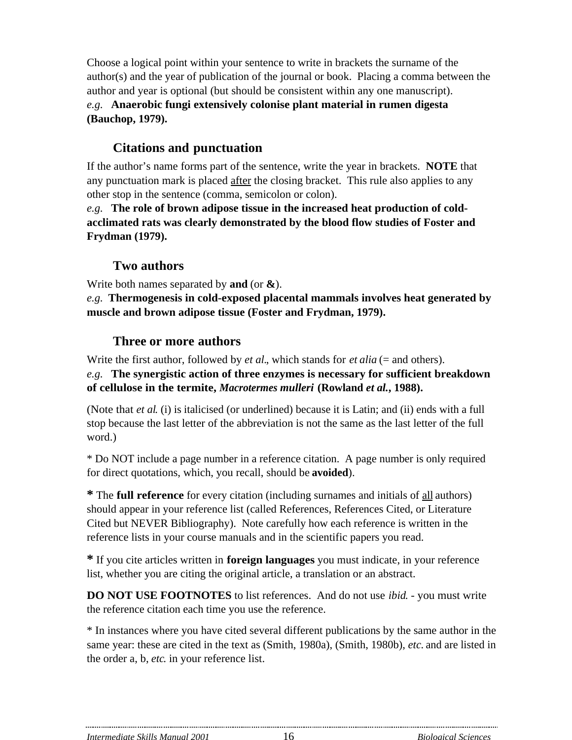Choose a logical point within your sentence to write in brackets the surname of the author(s) and the year of publication of the journal or book. Placing a comma between the author and year is optional (but should be consistent within any one manuscript). *e.g.* **Anaerobic fungi extensively colonise plant material in rumen digesta (Bauchop, 1979).**

## **Citations and punctuation**

If the author's name forms part of the sentence, write the year in brackets. **NOTE** that any punctuation mark is placed after the closing bracket. This rule also applies to any other stop in the sentence (comma, semicolon or colon).

*e.g.* **The role of brown adipose tissue in the increased heat production of coldacclimated rats was clearly demonstrated by the blood flow studies of Foster and Frydman (1979).**

#### **Two authors**

Write both names separated by **and** (or **&**).

*e.g.* **Thermogenesis in cold-exposed placental mammals involves heat generated by muscle and brown adipose tissue (Foster and Frydman, 1979).**

#### **Three or more authors**

Write the first author, followed by *et al.*, which stands for *et alia* (= and others).

*e.g.* **The synergistic action of three enzymes is necessary for sufficient breakdown of cellulose in the termite,** *Macrotermes mulleri* **(Rowland** *et al.***, 1988).**

(Note that *et al*. (i) is italicised (or underlined) because it is Latin; and (ii) ends with a full stop because the last letter of the abbreviation is not the same as the last letter of the full word.)

\* Do NOT include a page number in a reference citation. A page number is only required for direct quotations, which, you recall, should be **avoided**).

**\*** The **full reference** for every citation (including surnames and initials of all authors) should appear in your reference list (called References, References Cited, or Literature Cited but NEVER Bibliography). Note carefully how each reference is written in the reference lists in your course manuals and in the scientific papers you read.

**\*** If you cite articles written in **foreign languages** you must indicate, in your reference list, whether you are citing the original article, a translation or an abstract.

**DO NOT USE FOOTNOTES** to list references. And do not use *ibid*. - you must write the reference citation each time you use the reference.

\* In instances where you have cited several different publications by the same author in the same year: these are cited in the text as (Smith, 1980a), (Smith, 1980b), *etc.* and are listed in the order a, b, *etc*. in your reference list.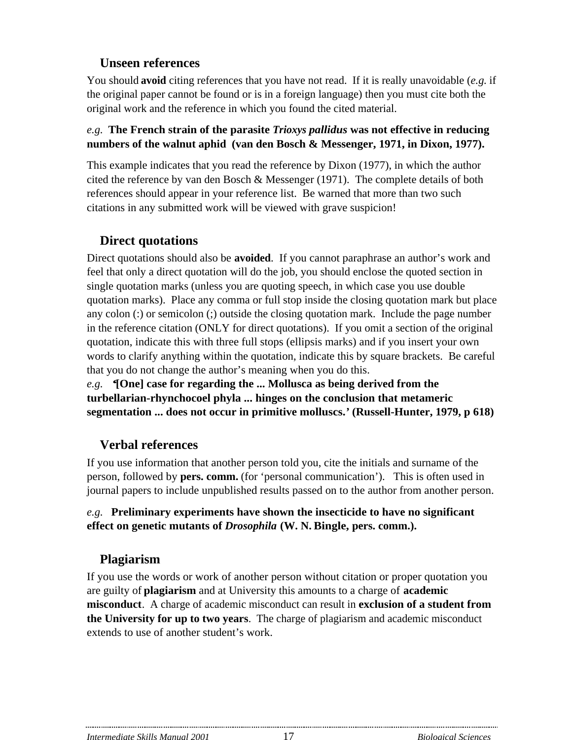## **Unseen references**

You should **avoid** citing references that you have not read. If it is really unavoidable (*e.g.* if the original paper cannot be found or is in a foreign language) then you must cite both the original work and the reference in which you found the cited material.

#### *e.g.* **The French strain of the parasite** *Trioxys pallidus* **was not effective in reducing numbers of the walnut aphid (van den Bosch & Messenger, 1971, in Dixon, 1977).**

This example indicates that you read the reference by Dixon (1977), in which the author cited the reference by van den Bosch & Messenger (1971). The complete details of both references should appear in your reference list. Be warned that more than two such citations in any submitted work will be viewed with grave suspicion!

## **Direct quotations**

Direct quotations should also be **avoided**. If you cannot paraphrase an author's work and feel that only a direct quotation will do the job, you should enclose the quoted section in single quotation marks (unless you are quoting speech, in which case you use double quotation marks). Place any comma or full stop inside the closing quotation mark but place any colon (:) or semicolon (;) outside the closing quotation mark. Include the page number in the reference citation (ONLY for direct quotations). If you omit a section of the original quotation, indicate this with three full stops (ellipsis marks) and if you insert your own words to clarify anything within the quotation, indicate this by square brackets. Be careful that you do not change the author's meaning when you do this.

*e.g. '***[One] case for regarding the ... Mollusca as being derived from the turbellarian-rhynchocoel phyla ... hinges on the conclusion that metameric segmentation ... does not occur in primitive molluscs.***'* **(Russell-Hunter, 1979, p 618)**

## **Verbal references**

If you use information that another person told you, cite the initials and surname of the person, followed by **pers. comm.** (for 'personal communication'). This is often used in journal papers to include unpublished results passed on to the author from another person.

#### *e.g.* **Preliminary experiments have shown the insecticide to have no significant effect on genetic mutants of** *Drosophila* **(W. N. Bingle, pers. comm.).**

# **Plagiarism**

If you use the words or work of another person without citation or proper quotation you are guilty of **plagiarism** and at University this amounts to a charge of **academic misconduct**. A charge of academic misconduct can result in **exclusion of a student from the University for up to two years**. The charge of plagiarism and academic misconduct extends to use of another student's work.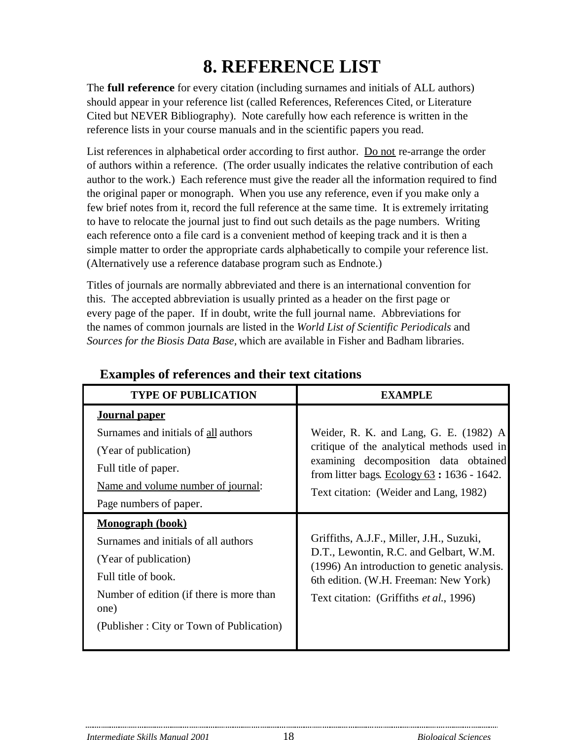# **8. REFERENCE LIST**

The **full reference** for every citation (including surnames and initials of ALL authors) should appear in your reference list (called References, References Cited, or Literature Cited but NEVER Bibliography). Note carefully how each reference is written in the reference lists in your course manuals and in the scientific papers you read.

List references in alphabetical order according to first author. Do not re-arrange the order of authors within a reference. (The order usually indicates the relative contribution of each author to the work.) Each reference must give the reader all the information required to find the original paper or monograph. When you use any reference, even if you make only a few brief notes from it, record the full reference at the same time. It is extremely irritating to have to relocate the journal just to find out such details as the page numbers. Writing each reference onto a file card is a convenient method of keeping track and it is then a simple matter to order the appropriate cards alphabetically to compile your reference list. (Alternatively use a reference database program such as Endnote.)

Titles of journals are normally abbreviated and there is an international convention for this. The accepted abbreviation is usually printed as a header on the first page or every page of the paper. If in doubt, write the full journal name. Abbreviations for the names of common journals are listed in the *World List of Scientific Periodicals* and *Sources for the Biosis Data Base,* which are available in Fisher and Badham libraries.

| <b>TYPE OF PUBLICATION</b>                                                                                                                                                                                      | <b>EXAMPLE</b>                                                                                                                                                                                                              |
|-----------------------------------------------------------------------------------------------------------------------------------------------------------------------------------------------------------------|-----------------------------------------------------------------------------------------------------------------------------------------------------------------------------------------------------------------------------|
| <b>Journal paper</b><br>Surnames and initials of all authors<br>(Year of publication)<br>Full title of paper.<br>Name and volume number of journal:<br>Page numbers of paper.                                   | Weider, R. K. and Lang, G. E. $(1982)$ A<br>critique of the analytical methods used in<br>examining decomposition data obtained<br>from litter bags. Ecology $63 : 1636 - 1642$ .<br>Text citation: (Weider and Lang, 1982) |
| <b>Monograph (book)</b><br>Surnames and initials of all authors<br>(Year of publication)<br>Full title of book.<br>Number of edition (if there is more than<br>one)<br>(Publisher: City or Town of Publication) | Griffiths, A.J.F., Miller, J.H., Suzuki,<br>D.T., Lewontin, R.C. and Gelbart, W.M.<br>(1996) An introduction to genetic analysis.<br>6th edition. (W.H. Freeman: New York)<br>Text citation: (Griffiths et al., 1996)       |

# **Examples of references and their text citations**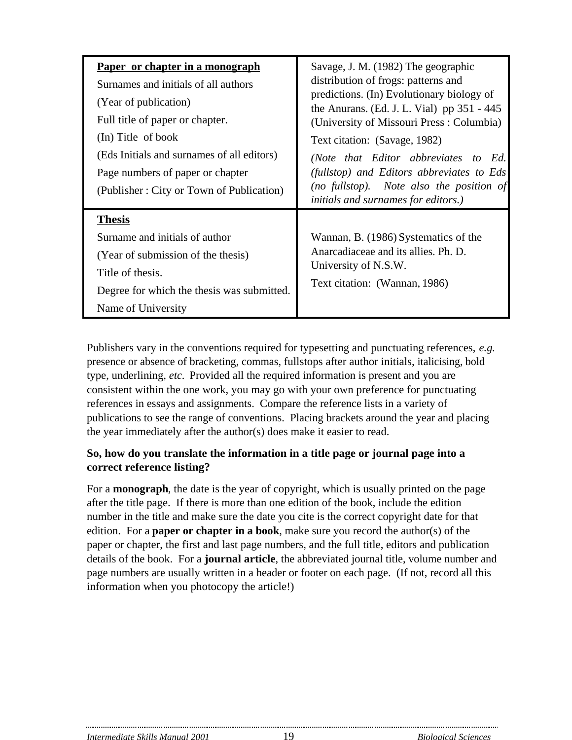| Paper or chapter in a monograph<br>Surnames and initials of all authors<br>(Year of publication)<br>Full title of paper or chapter.<br>(In) Title of book<br>(Eds Initials and surnames of all editors)<br>Page numbers of paper or chapter<br>(Publisher: City or Town of Publication) | Savage, J. M. (1982) The geographic<br>distribution of frogs: patterns and<br>predictions. (In) Evolutionary biology of<br>the Anurans. (Ed. J. L. Vial) pp 351 - 445<br>(University of Missouri Press: Columbia)<br>Text citation: (Savage, 1982)<br>(Note that Editor abbreviates to Ed.<br>(fullstop) and Editors abbreviates to Eds<br>(no fullstop). Note also the position of<br><i>initials and surnames for editors.)</i> |
|-----------------------------------------------------------------------------------------------------------------------------------------------------------------------------------------------------------------------------------------------------------------------------------------|-----------------------------------------------------------------------------------------------------------------------------------------------------------------------------------------------------------------------------------------------------------------------------------------------------------------------------------------------------------------------------------------------------------------------------------|
| <b>Thesis</b><br>Surname and initials of author<br>(Year of submission of the thesis)<br>Title of thesis.<br>Degree for which the thesis was submitted.<br>Name of University                                                                                                           | Wannan, B. (1986) Systematics of the<br>Anarcadiaceae and its allies. Ph. D.<br>University of N.S.W.<br>Text citation: (Wannan, 1986)                                                                                                                                                                                                                                                                                             |

Publishers vary in the conventions required for typesetting and punctuating references, *e.g.* presence or absence of bracketing, commas, fullstops after author initials, italicising, bold type, underlining, *etc.* Provided all the required information is present and you are consistent within the one work, you may go with your own preference for punctuating references in essays and assignments. Compare the reference lists in a variety of publications to see the range of conventions. Placing brackets around the year and placing the year immediately after the author(s) does make it easier to read.

#### **So, how do you translate the information in a title page or journal page into a correct reference listing?**

For a **monograph**, the date is the year of copyright, which is usually printed on the page after the title page. If there is more than one edition of the book, include the edition number in the title and make sure the date you cite is the correct copyright date for that edition. For a **paper or chapter in a book**, make sure you record the author(s) of the paper or chapter, the first and last page numbers, and the full title, editors and publication details of the book. For a **journal article**, the abbreviated journal title, volume number and page numbers are usually written in a header or footer on each page. (If not, record all this information when you photocopy the article!)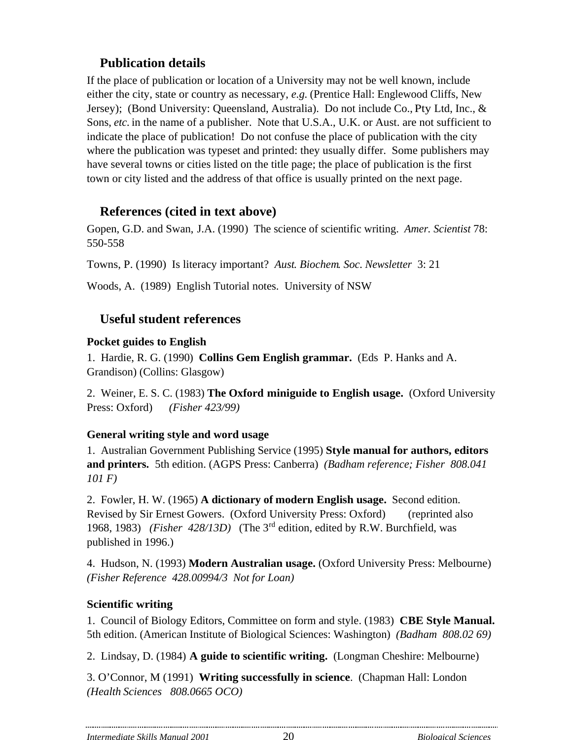# **Publication details**

If the place of publication or location of a University may not be well known, include either the city, state or country as necessary, *e.g.* (Prentice Hall: Englewood Cliffs, New Jersey); (Bond University: Queensland, Australia). Do not include Co., Pty Ltd, Inc., & Sons, *etc.* in the name of a publisher. Note that U.S.A., U.K. or Aust. are not sufficient to indicate the place of publication! Do not confuse the place of publication with the city where the publication was typeset and printed: they usually differ. Some publishers may have several towns or cities listed on the title page; the place of publication is the first town or city listed and the address of that office is usually printed on the next page.

## **References (cited in text above)**

Gopen, G.D. and Swan, J.A. (1990) The science of scientific writing. *Amer. Scientist* 78: 550-558

Towns, P. (1990) Is literacy important? *Aust. Biochem. Soc. Newsletter* 3: 21

Woods, A. (1989) English Tutorial notes. University of NSW

# **Useful student references**

#### **Pocket guides to English**

1. Hardie, R. G. (1990) **Collins Gem English grammar.** (Eds P. Hanks and A. Grandison) (Collins: Glasgow)

2. Weiner, E. S. C. (1983) **The Oxford miniguide to English usage.** (Oxford University Press: Oxford) *(Fisher 423/99)*

## **General writing style and word usage**

1. Australian Government Publishing Service (1995) **Style manual for authors, editors and printers.** 5th edition. (AGPS Press: Canberra) *(Badham reference; Fisher 808.041 101 F)*

2. Fowler, H. W. (1965) **A dictionary of modern English usage.** Second edition. Revised by Sir Ernest Gowers. (Oxford University Press: Oxford) (reprinted also 1968, 1983) *(Fisher 428/13D)* (The 3rd edition, edited by R.W. Burchfield, was published in 1996.)

4. Hudson, N. (1993) **Modern Australian usage.** (Oxford University Press: Melbourne) *(Fisher Reference 428.00994/3 Not for Loan)*

## **Scientific writing**

1. Council of Biology Editors, Committee on form and style. (1983) **CBE Style Manual.** 5th edition. (American Institute of Biological Sciences: Washington) *(Badham 808.02 69)*

2. Lindsay, D. (1984) **A guide to scientific writing.** (Longman Cheshire: Melbourne)

3. O'Connor, M (1991) **Writing successfully in science**. (Chapman Hall: London *(Health Sciences 808.0665 OCO)*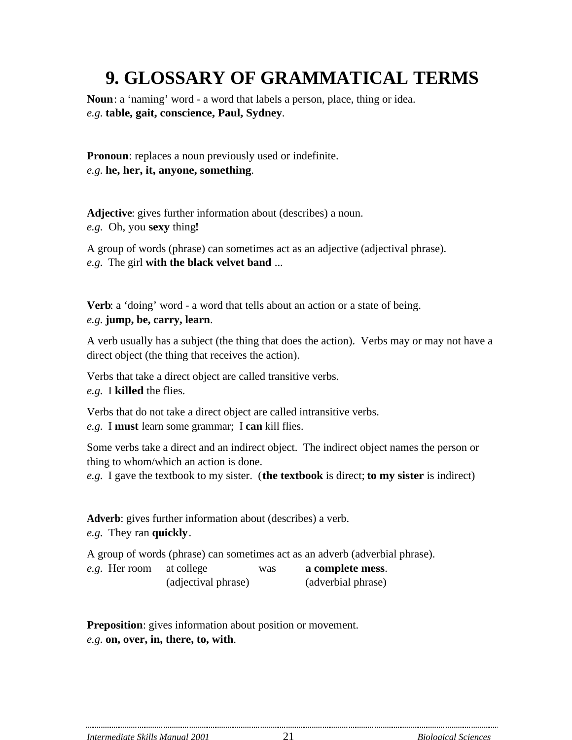# **9. GLOSSARY OF GRAMMATICAL TERMS**

**Noun**: a 'naming' word - a word that labels a person, place, thing or idea. *e.g.* **table, gait, conscience, Paul, Sydney**.

**Pronoun**: replaces a noun previously used or indefinite. *e.g.* **he, her, it, anyone, something**.

**Adjective**: gives further information about (describes) a noun. *e.g.* Oh, you **sexy** thing**!**

A group of words (phrase) can sometimes act as an adjective (adjectival phrase). *e.g.* The girl **with the black velvet band** ...

**Verb**: a 'doing' word - a word that tells about an action or a state of being. *e.g.* **jump, be, carry, learn**.

A verb usually has a subject (the thing that does the action). Verbs may or may not have a direct object (the thing that receives the action).

Verbs that take a direct object are called transitive verbs. *e.g.* I **killed** the flies.

Verbs that do not take a direct object are called intransitive verbs.

*e.g.* I **must** learn some grammar; I **can** kill flies.

Some verbs take a direct and an indirect object. The indirect object names the person or thing to whom/which an action is done.

*e.g.* I gave the textbook to my sister. (**the textbook** is direct; **to my sister** is indirect)

**Adverb**: gives further information about (describes) a verb. *e.g.* They ran **quickly**.

A group of words (phrase) can sometimes act as an adverb (adverbial phrase). *e.g.* Her room at college was **a complete mess**.

(adjectival phrase) (adverbial phrase)

**Preposition**: gives information about position or movement. *e.g.* **on, over, in, there, to, with**.